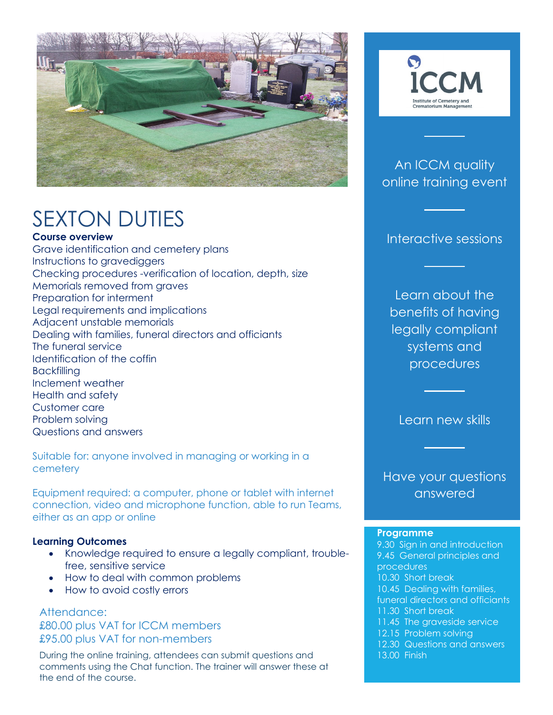

# SEXTON DUTIES

**Course overview**

Grave identification and cemetery plans Instructions to gravediggers Checking procedures -verification of location, depth, size Memorials removed from graves Preparation for interment Legal requirements and implications Adjacent unstable memorials Dealing with families, funeral directors and officiants The funeral service Identification of the coffin **Backfilling** Inclement weather Health and safety Customer care Problem solving Questions and answers

Suitable for: anyone involved in managing or working in a cemetery

Equipment required: a computer, phone or tablet with internet connection, video and microphone function, able to run Teams, either as an app or online

#### **Learning Outcomes**

- Knowledge required to ensure a legally compliant, troublefree, sensitive service
- How to deal with common problems
- How to avoid costly errors

Attendance: £80.00 plus VAT for ICCM members £95.00 plus VAT for non-members

 During the online training, attendees can submit questions and comments using the Chat function. The trainer will answer these at the end of the course.



### An ICCM quality online training event

#### Interactive sessions

Learn about the benefits of having legally compliant systems and procedures

Learn new skills

Have your questions answered

#### **Programme**

9.30 Sign in and introduction 9.45 General principles and procedures 10.30 Short break 10.45 Dealing with families, funeral directors and officiants 11.30 Short break 11.45 The graveside service 12.15 Problem solving 12.30 Questions and answers 13.00 Finish